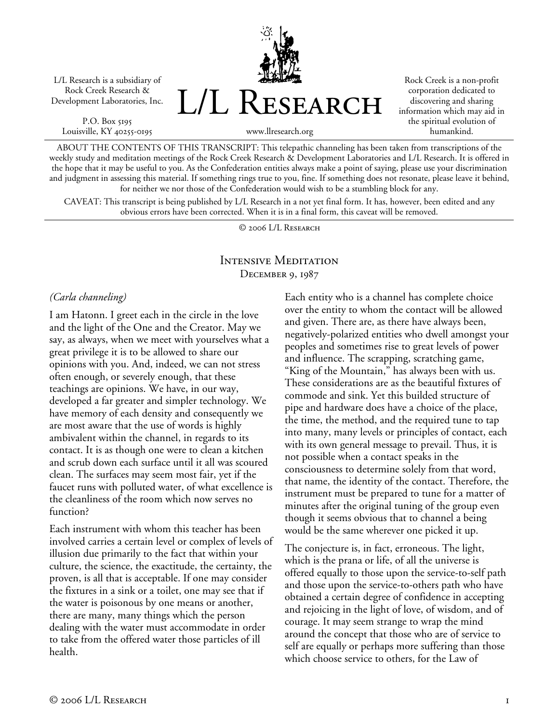L/L Research is a subsidiary of Rock Creek Research & Development Laboratories, Inc.

P.O. Box 5195 Louisville, KY 40255-0195 L/L Research

Rock Creek is a non-profit corporation dedicated to discovering and sharing information which may aid in the spiritual evolution of humankind.

www.llresearch.org

ABOUT THE CONTENTS OF THIS TRANSCRIPT: This telepathic channeling has been taken from transcriptions of the weekly study and meditation meetings of the Rock Creek Research & Development Laboratories and L/L Research. It is offered in the hope that it may be useful to you. As the Confederation entities always make a point of saying, please use your discrimination and judgment in assessing this material. If something rings true to you, fine. If something does not resonate, please leave it behind, for neither we nor those of the Confederation would wish to be a stumbling block for any.

CAVEAT: This transcript is being published by L/L Research in a not yet final form. It has, however, been edited and any obvious errors have been corrected. When it is in a final form, this caveat will be removed.

© 2006 L/L Research

## Intensive Meditation December 9, 1987

#### *(Carla channeling)*

I am Hatonn. I greet each in the circle in the love and the light of the One and the Creator. May we say, as always, when we meet with yourselves what a great privilege it is to be allowed to share our opinions with you. And, indeed, we can not stress often enough, or severely enough, that these teachings are opinions. We have, in our way, developed a far greater and simpler technology. We have memory of each density and consequently we are most aware that the use of words is highly ambivalent within the channel, in regards to its contact. It is as though one were to clean a kitchen and scrub down each surface until it all was scoured clean. The surfaces may seem most fair, yet if the faucet runs with polluted water, of what excellence is the cleanliness of the room which now serves no function?

Each instrument with whom this teacher has been involved carries a certain level or complex of levels of illusion due primarily to the fact that within your culture, the science, the exactitude, the certainty, the proven, is all that is acceptable. If one may consider the fixtures in a sink or a toilet, one may see that if the water is poisonous by one means or another, there are many, many things which the person dealing with the water must accommodate in order to take from the offered water those particles of ill health.

Each entity who is a channel has complete choice over the entity to whom the contact will be allowed and given. There are, as there have always been, negatively-polarized entities who dwell amongst your peoples and sometimes rise to great levels of power and influence. The scrapping, scratching game, "King of the Mountain," has always been with us. These considerations are as the beautiful fixtures of commode and sink. Yet this builded structure of pipe and hardware does have a choice of the place, the time, the method, and the required tune to tap into many, many levels or principles of contact, each with its own general message to prevail. Thus, it is not possible when a contact speaks in the consciousness to determine solely from that word, that name, the identity of the contact. Therefore, the instrument must be prepared to tune for a matter of minutes after the original tuning of the group even though it seems obvious that to channel a being would be the same wherever one picked it up.

The conjecture is, in fact, erroneous. The light, which is the prana or life, of all the universe is offered equally to those upon the service-to-self path and those upon the service-to-others path who have obtained a certain degree of confidence in accepting and rejoicing in the light of love, of wisdom, and of courage. It may seem strange to wrap the mind around the concept that those who are of service to self are equally or perhaps more suffering than those which choose service to others, for the Law of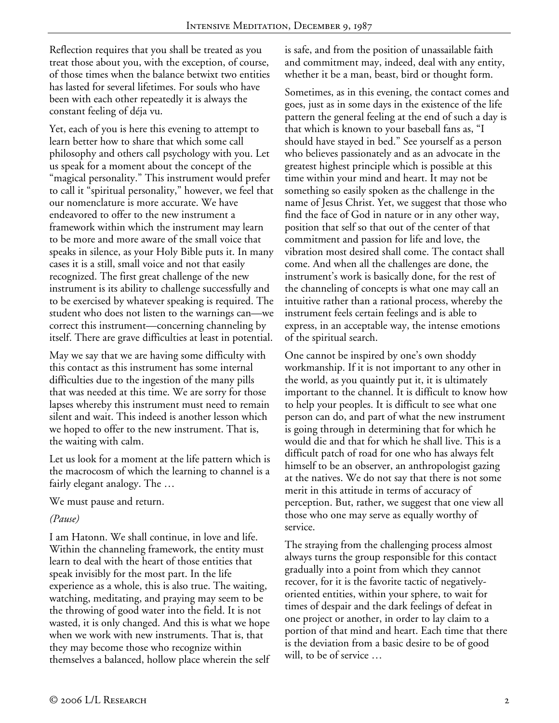Reflection requires that you shall be treated as you treat those about you, with the exception, of course, of those times when the balance betwixt two entities has lasted for several lifetimes. For souls who have been with each other repeatedly it is always the constant feeling of déja vu.

Yet, each of you is here this evening to attempt to learn better how to share that which some call philosophy and others call psychology with you. Let us speak for a moment about the concept of the "magical personality." This instrument would prefer to call it "spiritual personality," however, we feel that our nomenclature is more accurate. We have endeavored to offer to the new instrument a framework within which the instrument may learn to be more and more aware of the small voice that speaks in silence, as your Holy Bible puts it. In many cases it is a still, small voice and not that easily recognized. The first great challenge of the new instrument is its ability to challenge successfully and to be exercised by whatever speaking is required. The student who does not listen to the warnings can—we correct this instrument—concerning channeling by itself. There are grave difficulties at least in potential.

May we say that we are having some difficulty with this contact as this instrument has some internal difficulties due to the ingestion of the many pills that was needed at this time. We are sorry for those lapses whereby this instrument must need to remain silent and wait. This indeed is another lesson which we hoped to offer to the new instrument. That is, the waiting with calm.

Let us look for a moment at the life pattern which is the macrocosm of which the learning to channel is a fairly elegant analogy. The …

We must pause and return.

#### *(Pause)*

I am Hatonn. We shall continue, in love and life. Within the channeling framework, the entity must learn to deal with the heart of those entities that speak invisibly for the most part. In the life experience as a whole, this is also true. The waiting, watching, meditating, and praying may seem to be the throwing of good water into the field. It is not wasted, it is only changed. And this is what we hope when we work with new instruments. That is, that they may become those who recognize within themselves a balanced, hollow place wherein the self is safe, and from the position of unassailable faith and commitment may, indeed, deal with any entity, whether it be a man, beast, bird or thought form.

Sometimes, as in this evening, the contact comes and goes, just as in some days in the existence of the life pattern the general feeling at the end of such a day is that which is known to your baseball fans as, "I should have stayed in bed." See yourself as a person who believes passionately and as an advocate in the greatest highest principle which is possible at this time within your mind and heart. It may not be something so easily spoken as the challenge in the name of Jesus Christ. Yet, we suggest that those who find the face of God in nature or in any other way, position that self so that out of the center of that commitment and passion for life and love, the vibration most desired shall come. The contact shall come. And when all the challenges are done, the instrument's work is basically done, for the rest of the channeling of concepts is what one may call an intuitive rather than a rational process, whereby the instrument feels certain feelings and is able to express, in an acceptable way, the intense emotions of the spiritual search.

One cannot be inspired by one's own shoddy workmanship. If it is not important to any other in the world, as you quaintly put it, it is ultimately important to the channel. It is difficult to know how to help your peoples. It is difficult to see what one person can do, and part of what the new instrument is going through in determining that for which he would die and that for which he shall live. This is a difficult patch of road for one who has always felt himself to be an observer, an anthropologist gazing at the natives. We do not say that there is not some merit in this attitude in terms of accuracy of perception. But, rather, we suggest that one view all those who one may serve as equally worthy of service.

The straying from the challenging process almost always turns the group responsible for this contact gradually into a point from which they cannot recover, for it is the favorite tactic of negativelyoriented entities, within your sphere, to wait for times of despair and the dark feelings of defeat in one project or another, in order to lay claim to a portion of that mind and heart. Each time that there is the deviation from a basic desire to be of good will, to be of service …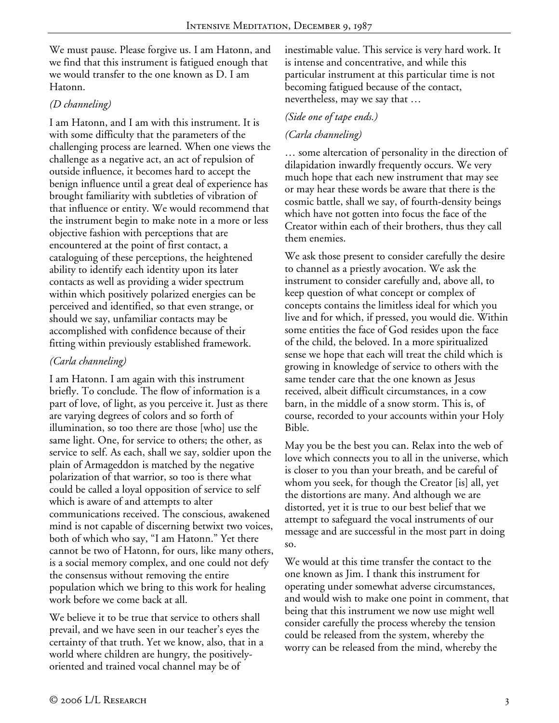We must pause. Please forgive us. I am Hatonn, and we find that this instrument is fatigued enough that we would transfer to the one known as D. I am Hatonn.

#### *(D channeling)*

I am Hatonn, and I am with this instrument. It is with some difficulty that the parameters of the challenging process are learned. When one views the challenge as a negative act, an act of repulsion of outside influence, it becomes hard to accept the benign influence until a great deal of experience has brought familiarity with subtleties of vibration of that influence or entity. We would recommend that the instrument begin to make note in a more or less objective fashion with perceptions that are encountered at the point of first contact, a cataloguing of these perceptions, the heightened ability to identify each identity upon its later contacts as well as providing a wider spectrum within which positively polarized energies can be perceived and identified, so that even strange, or should we say, unfamiliar contacts may be accomplished with confidence because of their fitting within previously established framework.

## *(Carla channeling)*

I am Hatonn. I am again with this instrument briefly. To conclude. The flow of information is a part of love, of light, as you perceive it. Just as there are varying degrees of colors and so forth of illumination, so too there are those [who] use the same light. One, for service to others; the other, as service to self. As each, shall we say, soldier upon the plain of Armageddon is matched by the negative polarization of that warrior, so too is there what could be called a loyal opposition of service to self which is aware of and attempts to alter communications received. The conscious, awakened mind is not capable of discerning betwixt two voices, both of which who say, "I am Hatonn." Yet there cannot be two of Hatonn, for ours, like many others, is a social memory complex, and one could not defy the consensus without removing the entire population which we bring to this work for healing work before we come back at all.

We believe it to be true that service to others shall prevail, and we have seen in our teacher's eyes the certainty of that truth. Yet we know, also, that in a world where children are hungry, the positivelyoriented and trained vocal channel may be of

inestimable value. This service is very hard work. It is intense and concentrative, and while this particular instrument at this particular time is not becoming fatigued because of the contact, nevertheless, may we say that …

### *(Side one of tape ends.)*

## *(Carla channeling)*

… some altercation of personality in the direction of dilapidation inwardly frequently occurs. We very much hope that each new instrument that may see or may hear these words be aware that there is the cosmic battle, shall we say, of fourth-density beings which have not gotten into focus the face of the Creator within each of their brothers, thus they call them enemies.

We ask those present to consider carefully the desire to channel as a priestly avocation. We ask the instrument to consider carefully and, above all, to keep question of what concept or complex of concepts contains the limitless ideal for which you live and for which, if pressed, you would die. Within some entities the face of God resides upon the face of the child, the beloved. In a more spiritualized sense we hope that each will treat the child which is growing in knowledge of service to others with the same tender care that the one known as Jesus received, albeit difficult circumstances, in a cow barn, in the middle of a snow storm. This is, of course, recorded to your accounts within your Holy Bible.

May you be the best you can. Relax into the web of love which connects you to all in the universe, which is closer to you than your breath, and be careful of whom you seek, for though the Creator [is] all, yet the distortions are many. And although we are distorted, yet it is true to our best belief that we attempt to safeguard the vocal instruments of our message and are successful in the most part in doing so.

We would at this time transfer the contact to the one known as Jim. I thank this instrument for operating under somewhat adverse circumstances, and would wish to make one point in comment, that being that this instrument we now use might well consider carefully the process whereby the tension could be released from the system, whereby the worry can be released from the mind, whereby the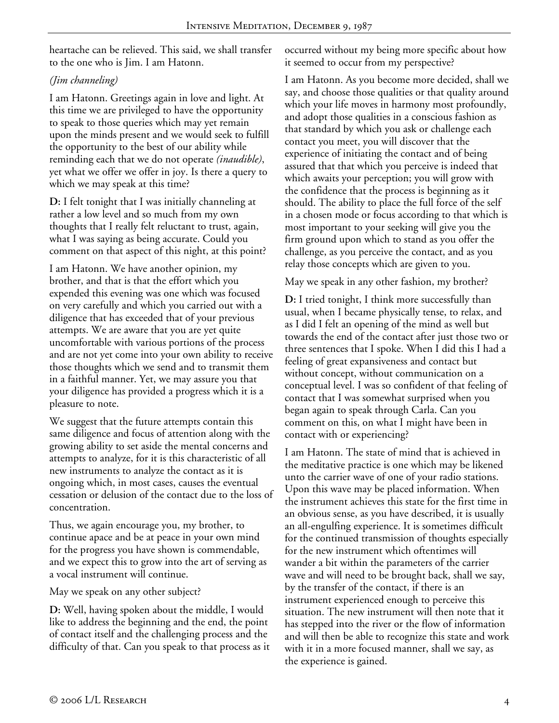heartache can be relieved. This said, we shall transfer to the one who is Jim. I am Hatonn.

# *(Jim channeling)*

I am Hatonn. Greetings again in love and light. At this time we are privileged to have the opportunity to speak to those queries which may yet remain upon the minds present and we would seek to fulfill the opportunity to the best of our ability while reminding each that we do not operate *(inaudible)*, yet what we offer we offer in joy. Is there a query to which we may speak at this time?

**D:** I felt tonight that I was initially channeling at rather a low level and so much from my own thoughts that I really felt reluctant to trust, again, what I was saying as being accurate. Could you comment on that aspect of this night, at this point?

I am Hatonn. We have another opinion, my brother, and that is that the effort which you expended this evening was one which was focused on very carefully and which you carried out with a diligence that has exceeded that of your previous attempts. We are aware that you are yet quite uncomfortable with various portions of the process and are not yet come into your own ability to receive those thoughts which we send and to transmit them in a faithful manner. Yet, we may assure you that your diligence has provided a progress which it is a pleasure to note.

We suggest that the future attempts contain this same diligence and focus of attention along with the growing ability to set aside the mental concerns and attempts to analyze, for it is this characteristic of all new instruments to analyze the contact as it is ongoing which, in most cases, causes the eventual cessation or delusion of the contact due to the loss of concentration.

Thus, we again encourage you, my brother, to continue apace and be at peace in your own mind for the progress you have shown is commendable, and we expect this to grow into the art of serving as a vocal instrument will continue.

May we speak on any other subject?

**D:** Well, having spoken about the middle, I would like to address the beginning and the end, the point of contact itself and the challenging process and the difficulty of that. Can you speak to that process as it occurred without my being more specific about how it seemed to occur from my perspective?

I am Hatonn. As you become more decided, shall we say, and choose those qualities or that quality around which your life moves in harmony most profoundly, and adopt those qualities in a conscious fashion as that standard by which you ask or challenge each contact you meet, you will discover that the experience of initiating the contact and of being assured that that which you perceive is indeed that which awaits your perception; you will grow with the confidence that the process is beginning as it should. The ability to place the full force of the self in a chosen mode or focus according to that which is most important to your seeking will give you the firm ground upon which to stand as you offer the challenge, as you perceive the contact, and as you relay those concepts which are given to you.

May we speak in any other fashion, my brother?

**D:** I tried tonight, I think more successfully than usual, when I became physically tense, to relax, and as I did I felt an opening of the mind as well but towards the end of the contact after just those two or three sentences that I spoke. When I did this I had a feeling of great expansiveness and contact but without concept, without communication on a conceptual level. I was so confident of that feeling of contact that I was somewhat surprised when you began again to speak through Carla. Can you comment on this, on what I might have been in contact with or experiencing?

I am Hatonn. The state of mind that is achieved in the meditative practice is one which may be likened unto the carrier wave of one of your radio stations. Upon this wave may be placed information. When the instrument achieves this state for the first time in an obvious sense, as you have described, it is usually an all-engulfing experience. It is sometimes difficult for the continued transmission of thoughts especially for the new instrument which oftentimes will wander a bit within the parameters of the carrier wave and will need to be brought back, shall we say, by the transfer of the contact, if there is an instrument experienced enough to perceive this situation. The new instrument will then note that it has stepped into the river or the flow of information and will then be able to recognize this state and work with it in a more focused manner, shall we say, as the experience is gained.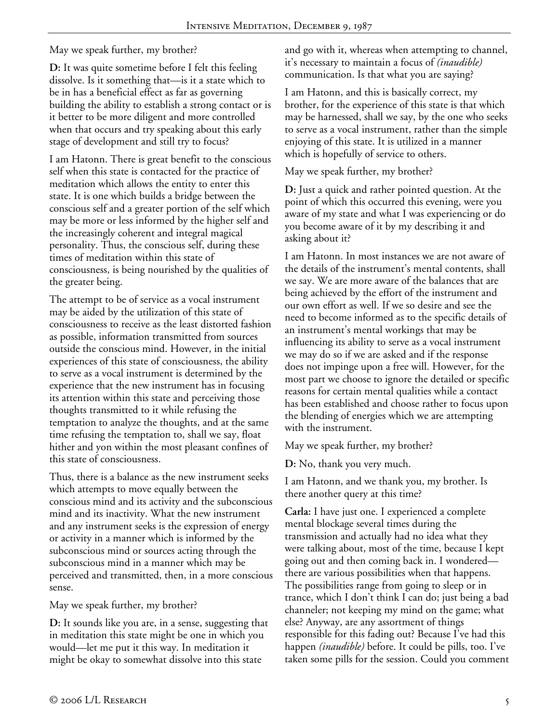May we speak further, my brother?

**D:** It was quite sometime before I felt this feeling dissolve. Is it something that—is it a state which to be in has a beneficial effect as far as governing building the ability to establish a strong contact or is it better to be more diligent and more controlled when that occurs and try speaking about this early stage of development and still try to focus?

I am Hatonn. There is great benefit to the conscious self when this state is contacted for the practice of meditation which allows the entity to enter this state. It is one which builds a bridge between the conscious self and a greater portion of the self which may be more or less informed by the higher self and the increasingly coherent and integral magical personality. Thus, the conscious self, during these times of meditation within this state of consciousness, is being nourished by the qualities of the greater being.

The attempt to be of service as a vocal instrument may be aided by the utilization of this state of consciousness to receive as the least distorted fashion as possible, information transmitted from sources outside the conscious mind. However, in the initial experiences of this state of consciousness, the ability to serve as a vocal instrument is determined by the experience that the new instrument has in focusing its attention within this state and perceiving those thoughts transmitted to it while refusing the temptation to analyze the thoughts, and at the same time refusing the temptation to, shall we say, float hither and yon within the most pleasant confines of this state of consciousness.

Thus, there is a balance as the new instrument seeks which attempts to move equally between the conscious mind and its activity and the subconscious mind and its inactivity. What the new instrument and any instrument seeks is the expression of energy or activity in a manner which is informed by the subconscious mind or sources acting through the subconscious mind in a manner which may be perceived and transmitted, then, in a more conscious sense.

May we speak further, my brother?

**D:** It sounds like you are, in a sense, suggesting that in meditation this state might be one in which you would—let me put it this way. In meditation it might be okay to somewhat dissolve into this state

and go with it, whereas when attempting to channel, it's necessary to maintain a focus of *(inaudible)* communication. Is that what you are saying?

I am Hatonn, and this is basically correct, my brother, for the experience of this state is that which may be harnessed, shall we say, by the one who seeks to serve as a vocal instrument, rather than the simple enjoying of this state. It is utilized in a manner which is hopefully of service to others.

May we speak further, my brother?

**D:** Just a quick and rather pointed question. At the point of which this occurred this evening, were you aware of my state and what I was experiencing or do you become aware of it by my describing it and asking about it?

I am Hatonn. In most instances we are not aware of the details of the instrument's mental contents, shall we say. We are more aware of the balances that are being achieved by the effort of the instrument and our own effort as well. If we so desire and see the need to become informed as to the specific details of an instrument's mental workings that may be influencing its ability to serve as a vocal instrument we may do so if we are asked and if the response does not impinge upon a free will. However, for the most part we choose to ignore the detailed or specific reasons for certain mental qualities while a contact has been established and choose rather to focus upon the blending of energies which we are attempting with the instrument.

May we speak further, my brother?

**D:** No, thank you very much.

I am Hatonn, and we thank you, my brother. Is there another query at this time?

**Carla:** I have just one. I experienced a complete mental blockage several times during the transmission and actually had no idea what they were talking about, most of the time, because I kept going out and then coming back in. I wondered there are various possibilities when that happens. The possibilities range from going to sleep or in trance, which I don't think I can do; just being a bad channeler; not keeping my mind on the game; what else? Anyway, are any assortment of things responsible for this fading out? Because I've had this happen *(inaudible)* before. It could be pills, too. I've taken some pills for the session. Could you comment